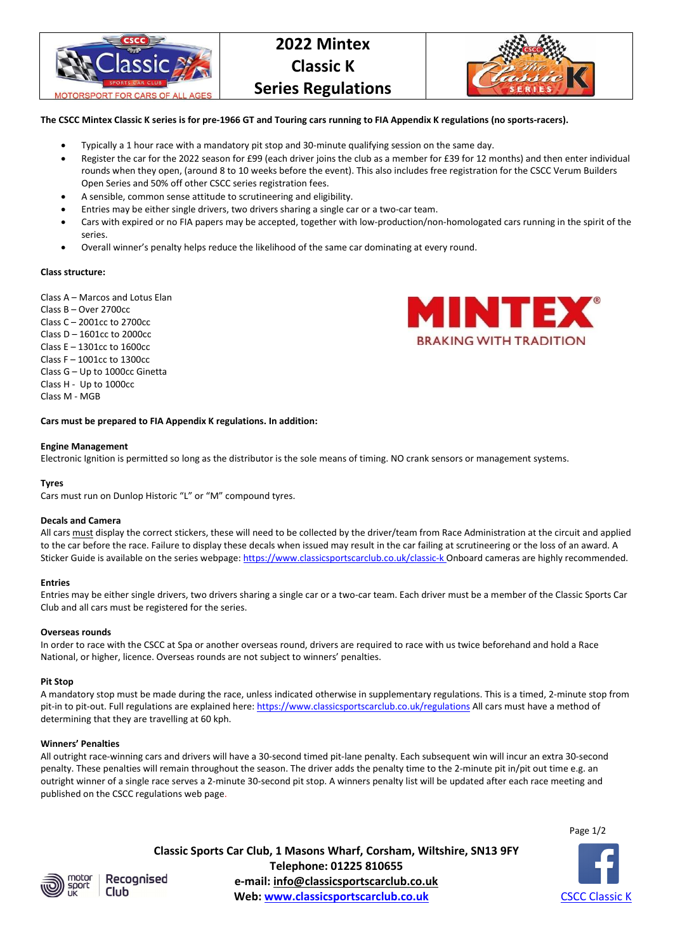

# **2022 Mintex Classic K Series Regulations**



### **The CSCC Mintex Classic K series is for pre-1966 GT and Touring cars running to FIA Appendix K regulations (no sports-racers).**

- Typically a 1 hour race with a mandatory pit stop and 30-minute qualifying session on the same day.
- Register the car for the 2022 season for £99 (each driver joins the club as a member for £39 for 12 months) and then enter individual rounds when they open, (around 8 to 10 weeks before the event). This also includes free registration for the CSCC Verum Builders Open Series and 50% off other CSCC series registration fees.
- A sensible, common sense attitude to scrutineering and eligibility.
- Entries may be either single drivers, two drivers sharing a single car or a two-car team.
- Cars with expired or no FIA papers may be accepted, together with low-production/non-homologated cars running in the spirit of the series.
- Overall winner's penalty helps reduce the likelihood of the same car dominating at every round.

### **Class structure:**

Class A – Marcos and Lotus Elan

Class B – Over 2700cc Class C – 2001cc to 2700cc Class D – 1601cc to 2000cc Class E – 1301cc to 1600cc Class F – 1001cc to 1300cc Class G – Up to 1000cc Ginetta Class H - Up to 1000cc Class M - MGB



**Cars must be prepared to FIA Appendix K regulations. In addition:** 

#### **Engine Management**

Electronic Ignition is permitted so long as the distributor is the sole means of timing. NO crank sensors or management systems.

### **Tyres**

Cars must run on Dunlop Historic "L" or "M" compound tyres.

### **Decals and Camera**

All cars must display the correct stickers, these will need to be collected by the driver/team from Race Administration at the circuit and applied to the car before the race. Failure to display these decals when issued may result in the car failing at scrutineering or the loss of an award. A Sticker Guide is available on the series webpage: https://www.classicsportscarclub.co.uk/classic-k Onboard cameras are highly recommended.

### **Entries**

Entries may be either single drivers, two drivers sharing a single car or a two-car team. Each driver must be a member of the Classic Sports Car Club and all cars must be registered for the series.

### **Overseas rounds**

In order to race with the CSCC at Spa or another overseas round, drivers are required to race with us twice beforehand and hold a Race National, or higher, licence. Overseas rounds are not subject to winners' penalties.

### **Pit Stop**

A mandatory stop must be made during the race, unless indicated otherwise in supplementary regulations. This is a timed, 2-minute stop from pit-in to pit-out. Full regulations are explained here: https://www.classicsportscarclub.co.uk/regulations All cars must have a method of determining that they are travelling at 60 kph.

### **Winners' Penalties**

All outright race-winning cars and drivers will have a 30-second timed pit-lane penalty. Each subsequent win will incur an extra 30-second penalty. These penalties will remain throughout the season. The driver adds the penalty time to the 2-minute pit in/pit out time e.g. an outright winner of a single race serves a 2-minute 30-second pit stop. A winners penalty list will be updated after each race meeting and published on the CSCC regulations web page.

Page 1/2



Recognised

**Classic Sports Car Club, 1 Masons Wharf, Corsham, Wiltshire, SN13 9FY Telephone: 01225 810655 e-mail: info@classicsportscarclub.co.uk Club Web:** www.classicsportscarclub.co.uk **CSCC Classic K**